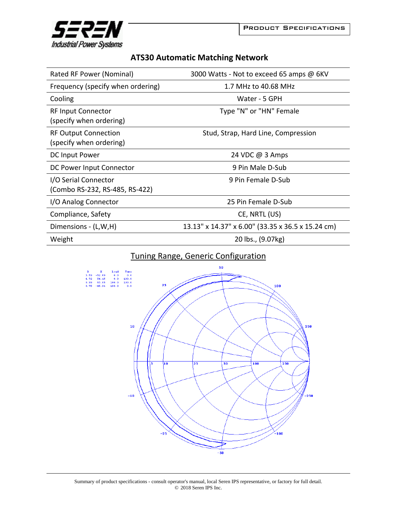

## **ATS30 Automatic Matching Network**

| Rated RF Power (Nominal)                               | 3000 Watts - Not to exceed 65 amps @ 6KV          |
|--------------------------------------------------------|---------------------------------------------------|
| Frequency (specify when ordering)                      | 1.7 MHz to 40.68 MHz                              |
| Cooling                                                | Water - 5 GPH                                     |
| <b>RF Input Connector</b><br>(specify when ordering)   | Type "N" or "HN" Female                           |
| <b>RF Output Connection</b><br>(specify when ordering) | Stud, Strap, Hard Line, Compression               |
| DC Input Power                                         | 24 VDC @ 3 Amps                                   |
| DC Power Input Connector                               | 9 Pin Male D-Sub                                  |
| I/O Serial Connector<br>(Combo RS-232, RS-485, RS-422) | 9 Pin Female D-Sub                                |
| I/O Analog Connector                                   | 25 Pin Female D-Sub                               |
| Compliance, Safety                                     | CE, NRTL (US)                                     |
| Dimensions - (L,W,H)                                   | 13.13" x 14.37" x 6.00" (33.35 x 36.5 x 15.24 cm) |
| Weight                                                 | 20 lbs., (9.07kg)                                 |

## Tuning Range, Generic Configuration